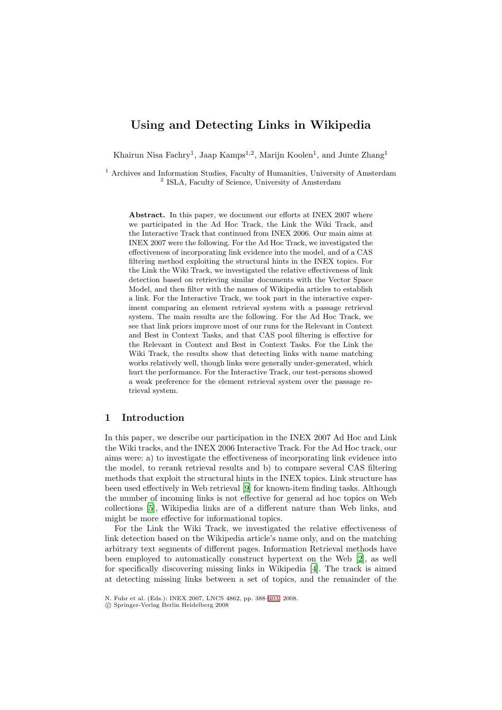# **Using and Detecting Links in Wikipedia**

Khairun Nisa Fachry<sup>1</sup>, Jaap Kamps<sup>1,2</sup>, Marijn Koolen<sup>1</sup>, and Junte Zhang<sup>1</sup>

<sup>1</sup> Archives and Information Studies, Faculty of Humanities, University of Amsterdam <sup>2</sup> ISLA, Faculty of Science, University of Amsterdam

**Abstract.** In this paper, we document our efforts at INEX 2007 where we participated in the Ad Hoc Track, the Link the Wiki Track, and the Interactive Track that continued from INEX 2006. Our main aims at INEX 2007 were the following. For the Ad Hoc Track, we investigated the effectiveness of incorporating link evidence into the model, and of a CAS filtering method exploiting the structural hints in the INEX topics. For the Link the Wiki Track, we investigated the relative effectiveness of link detection based on retrieving similar documents with the Vector Space Model, and then filter with the names of Wikipedia articles to establish a link. For the Interactive Track, we took part in the interactive experiment comparing an element retrieval system with a passage retrieval system. The main results are the following. For the Ad Hoc Track, we see that link priors improve most of our runs for the Relevant in Context and Best in Context Tasks, and that CAS pool filtering is effective for the Relevant in Context and Best in Context Tasks. For the Link the Wiki Track, the results show that detecting links with name matching works relatively well, though links were generally under-generated, which hurt the performance. For the Interactive Track, our test-persons showed a weak preference for the element retrieval system over the passage retrieval system.

# **1 Introduction**

In this paper, we describe our participation in the INEX 2007 Ad Hoc and Link the Wiki tracks, and the INEX 2006 Interactive Track. For the Ad Hoc track, our aims were: a) to investigate the effectiveness of incorporating link evidence into the model, to rerank retrieval results and b) to compare several CAS filtering methods that exploit the structural hints in the INEX topics. Link structure has been used effectively in Web retrieval [\[9](#page-14-0)] for known-item finding tasks. Although the number of incoming links is not effective for general ad hoc topics on Web collections [\[5](#page-14-1)], Wikipedia links are of a different nature than Web links, and might be more effective for informational topics.

For the Link the Wiki Track, we investigated the relative effectiveness of link detection based on the Wikipedia article's name only, and on the matching arbitrary text segments of different pages. Information Retrieval methods have been employed to automatically construct hypertext on the Web [\[2\]](#page-14-2), as well for specifically discovering missing links in Wikipedia [\[4\]](#page-14-3). The track is aimed at detecting missing links between a set of topics, and the remainder of the

N. Fuhr et al. (Eds.): INEX 2007, LNCS 4862, pp. 388[–403,](#page-14-4) 2008.

<sup>-</sup>c Springer-Verlag Berlin Heidelberg 2008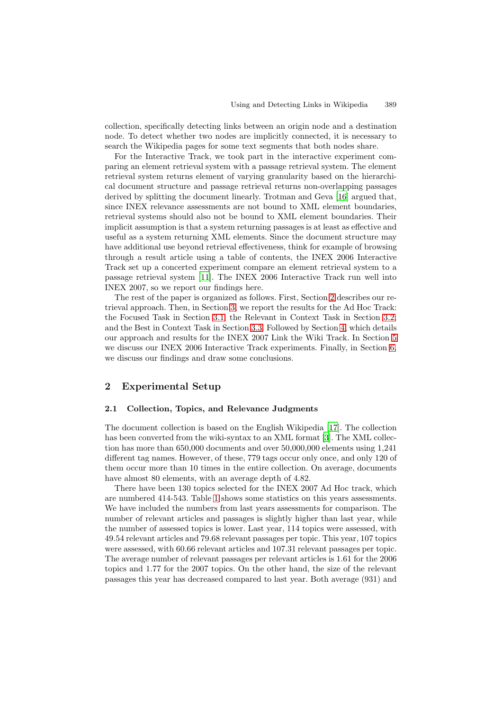collection, specifically detecting links between an origin node and a destination node. To detect whether two nodes are implicitly connected, it is necessary to search the Wikipedia pages for some text segments that both nodes share.

For the Interactive Track, we took part in the interactive experiment comparing an element retrieval system with a passage retrieval system. The element retrieval system returns element of varying granularity based on the hierarchical document structure and passage retrieval returns non-overlapping passages derived by splitting the document linearly. Trotman and Geva [\[16\]](#page-15-0) argued that, since INEX relevance assessments are not bound to XML element boundaries, retrieval systems should also not be bound to XML element boundaries. Their implicit assumption is that a system returning passages is at least as effective and useful as a system returning XML elements. Since the document structure may have additional use beyond retrieval effectiveness, think for example of browsing through a result article using a table of contents, the INEX 2006 Interactive Track set up a concerted experiment compare an element retrieval system to a passage retrieval system [\[11](#page-14-5)]. The INEX 2006 Interactive Track run well into INEX 2007, so we report our findings here.

The rest of the paper is organized as follows. First, Section [2](#page-1-0) describes our retrieval approach. Then, in Section [3,](#page-4-0) we report the results for the Ad Hoc Track: the Focused Task in Section [3.1;](#page-4-1) the Relevant in Context Task in Section [3.2;](#page-5-0) and the Best in Context Task in Section [3.3.](#page-6-0) Followed by Section [4,](#page-6-1) which details our approach and results for the INEX 2007 Link the Wiki Track. In Section [5](#page-10-0) we discuss our INEX 2006 Interactive Track experiments. Finally, in Section [6,](#page-13-0) we discuss our findings and draw some conclusions.

# <span id="page-1-0"></span>**2 Experimental Setup**

### **2.1 Collection, Topics, and Relevance Judgments**

The document collection is based on the English Wikipedia [\[17\]](#page-15-1). The collection has been converted from the wiki-syntax to an XML format [\[3\]](#page-14-6). The XML collection has more than 650,000 documents and over 50,000,000 elements using 1,241 different tag names. However, of these, 779 tags occur only once, and only 120 of them occur more than 10 times in the entire collection. On average, documents have almost 80 elements, with an average depth of 4.82.

There have been 130 topics selected for the INEX 2007 Ad Hoc track, which are numbered 414-543. Table [1](#page-2-0) shows some statistics on this years assessments. We have included the numbers from last years assessments for comparison. The number of relevant articles and passages is slightly higher than last year, while the number of assessed topics is lower. Last year, 114 topics were assessed, with 49.54 relevant articles and 79.68 relevant passages per topic. This year, 107 topics were assessed, with 60.66 relevant articles and 107.31 relevant passages per topic. The average number of relevant passages per relevant articles is 1.61 for the 2006 topics and 1.77 for the 2007 topics. On the other hand, the size of the relevant passages this year has decreased compared to last year. Both average (931) and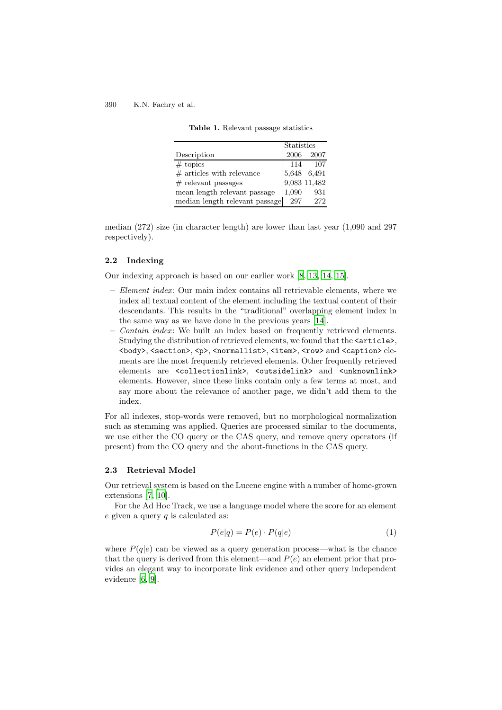<span id="page-2-0"></span>

|                                | Statistics |                 |
|--------------------------------|------------|-----------------|
| Description                    |            | 2006 2007       |
| $# \t{ topics}$                | 114        | - 107           |
| $#$ articles with relevance    |            | $5,648$ $6,491$ |
| $#$ relevant passages          |            | 9,083 11,482    |
| mean length relevant passage   | 1,090      | 931             |
| median length relevant passage | 297        | 272             |

|  | <b>Table 1.</b> Relevant passage statistics |  |
|--|---------------------------------------------|--|
|  |                                             |  |

median (272) size (in character length) are lower than last year (1,090 and 297 respectively).

### **2.2 Indexing**

Our indexing approach is based on our earlier work [\[8,](#page-14-7) [13,](#page-14-8) [14,](#page-15-2) [15](#page-15-3)].

- **–** *Element index* : Our main index contains all retrievable elements, where we index all textual content of the element including the textual content of their descendants. This results in the "traditional" overlapping element index in the same way as we have done in the previous years [\[14](#page-15-2)].
- **–** *Contain index* : We built an index based on frequently retrieved elements. Studying the distribution of retrieved elements, we found that the <article>, <body>, <section>, <p>, <normallist>, <item>, <row> and <caption> elements are the most frequently retrieved elements. Other frequently retrieved elements are <collectionlink>, <outsidelink> and <unknownlink> elements. However, since these links contain only a few terms at most, and say more about the relevance of another page, we didn't add them to the index.

For all indexes, stop-words were removed, but no morphological normalization such as stemming was applied. Queries are processed similar to the documents, we use either the CO query or the CAS query, and remove query operators (if present) from the CO query and the about-functions in the CAS query.

### **2.3 Retrieval Model**

Our retrieval system is based on the Lucene engine with a number of home-grown extensions [\[7,](#page-14-9) [10](#page-14-10)].

For the Ad Hoc Track, we use a language model where the score for an element  $e$  given a query  $q$  is calculated as:

$$
P(e|q) = P(e) \cdot P(q|e)
$$
 (1)

where  $P(q|e)$  can be viewed as a query generation process—what is the chance that the query is derived from this element—and  $P(e)$  an element prior that provides an elegant way to incorporate link evidence and other query independent evidence [\[6](#page-14-11), [9](#page-14-0)].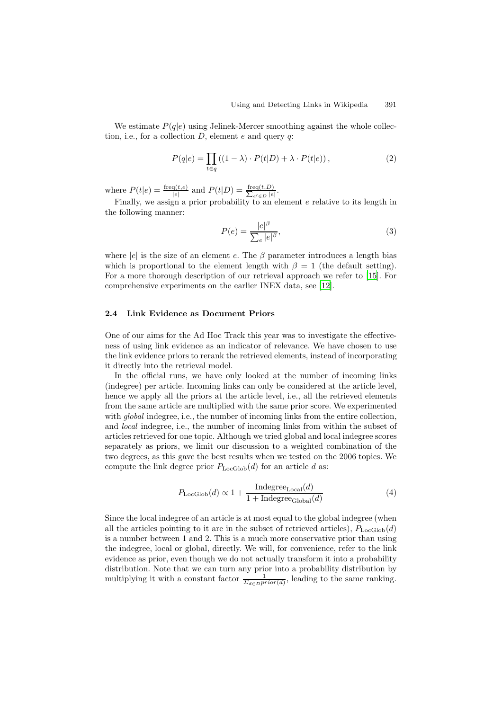We estimate  $P(q|e)$  using Jelinek-Mercer smoothing against the whole collection, i.e., for a collection  $D$ , element  $e$  and query  $q$ :

$$
P(q|e) = \prod_{t \in q} ((1 - \lambda) \cdot P(t|D) + \lambda \cdot P(t|e)), \qquad (2)
$$

where  $P(t|e) = \frac{\text{freq}(t,e)}{|e|}$  and  $P(t|D) = \frac{\text{freq}(t,D)}{\sum_{e' \in D} |e|}$ .  $\frac{eq(t,D)}{e^{\prime} \in D}$   $\frac{|e|}{e}$ .

Finally, we assign a prior probability to an element  $e$  relative to its length in the following manner:

$$
P(e) = \frac{|e|^{\beta}}{\sum_{e} |e|^{\beta}},\tag{3}
$$

where  $|e|$  is the size of an element e. The  $\beta$  parameter introduces a length bias which is proportional to the element length with  $\beta = 1$  (the default setting). For a more thorough description of our retrieval approach we refer to [\[15\]](#page-15-3). For comprehensive experiments on the earlier INEX data, see [\[12\]](#page-14-12).

### **2.4 Link Evidence as Document Priors**

One of our aims for the Ad Hoc Track this year was to investigate the effectiveness of using link evidence as an indicator of relevance. We have chosen to use the link evidence priors to rerank the retrieved elements, instead of incorporating it directly into the retrieval model.

In the official runs, we have only looked at the number of incoming links (indegree) per article. Incoming links can only be considered at the article level, hence we apply all the priors at the article level, i.e., all the retrieved elements from the same article are multiplied with the same prior score. We experimented with *global* indegree, i.e., the number of incoming links from the entire collection, and *local* indegree, i.e., the number of incoming links from within the subset of articles retrieved for one topic. Although we tried global and local indegree scores separately as priors, we limit our discussion to a weighted combination of the two degrees, as this gave the best results when we tested on the 2006 topics. We compute the link degree prior  $P_{\text{LocGlob}}(d)$  for an article d as:

$$
P_{\text{LocGlob}}(d) \propto 1 + \frac{\text{Indegree}_{\text{Local}}(d)}{1 + \text{Indegree}_{\text{Global}}(d)}\tag{4}
$$

Since the local indegree of an article is at most equal to the global indegree (when all the articles pointing to it are in the subset of retrieved articles),  $P_{\text{LocGlob}}(d)$ is a number between 1 and 2. This is a much more conservative prior than using the indegree, local or global, directly. We will, for convenience, refer to the link evidence as prior, even though we do not actually transform it into a probability distribution. Note that we can turn any prior into a probability distribution by multiplying it with a constant factor  $\frac{1}{\Sigma_{d \in D} prior(d)}$ , leading to the same ranking.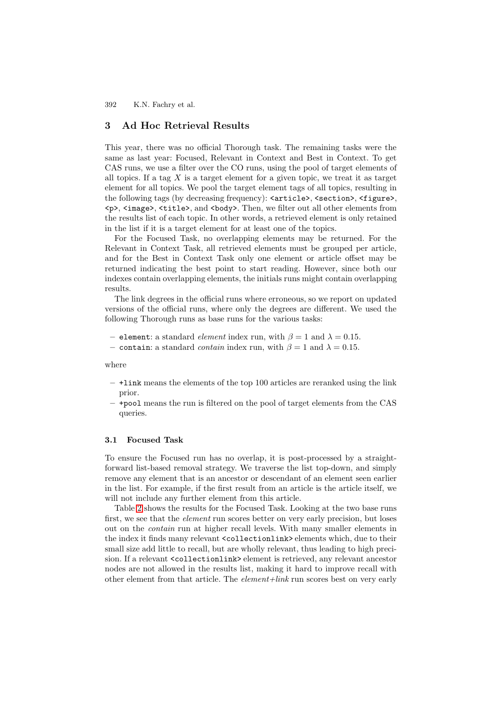# <span id="page-4-0"></span>**3 Ad Hoc Retrieval Results**

This year, there was no official Thorough task. The remaining tasks were the same as last year: Focused, Relevant in Context and Best in Context. To get CAS runs, we use a filter over the CO runs, using the pool of target elements of all topics. If a tag  $X$  is a target element for a given topic, we treat it as target element for all topics. We pool the target element tags of all topics, resulting in the following tags (by decreasing frequency):  $\langle$  article>,  $\langle$  section>,  $\langle$  figure>, <p>, <image>, <title>, and <body>. Then, we filter out all other elements from the results list of each topic. In other words, a retrieved element is only retained in the list if it is a target element for at least one of the topics.

For the Focused Task, no overlapping elements may be returned. For the Relevant in Context Task, all retrieved elements must be grouped per article, and for the Best in Context Task only one element or article offset may be returned indicating the best point to start reading. However, since both our indexes contain overlapping elements, the initials runs might contain overlapping results.

The link degrees in the official runs where erroneous, so we report on updated versions of the official runs, where only the degrees are different. We used the following Thorough runs as base runs for the various tasks:

- **–** element: a standard *element* index run, with  $\beta = 1$  and  $\lambda = 0.15$ .
- **–** contain: a standard *contain* index run, with β = 1 and λ = 0.15.

where

- **–** +link means the elements of the top 100 articles are reranked using the link prior.
- **–** +pool means the run is filtered on the pool of target elements from the CAS queries.

### <span id="page-4-1"></span>**3.1 Focused Task**

To ensure the Focused run has no overlap, it is post-processed by a straightforward list-based removal strategy. We traverse the list top-down, and simply remove any element that is an ancestor or descendant of an element seen earlier in the list. For example, if the first result from an article is the article itself, we will not include any further element from this article.

Table [2](#page-5-1) shows the results for the Focused Task. Looking at the two base runs first, we see that the *element* run scores better on very early precision, but loses out on the *contain* run at higher recall levels. With many smaller elements in the index it finds many relevant <collectionlink> elements which, due to their small size add little to recall, but are wholly relevant, thus leading to high precision. If a relevant <collectionlink> element is retrieved, any relevant ancestor nodes are not allowed in the results list, making it hard to improve recall with other element from that article. The *element+link* run scores best on very early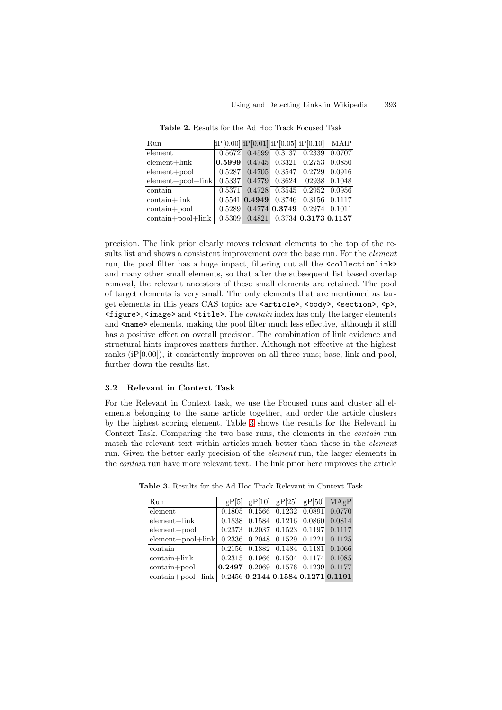<span id="page-5-1"></span>

| Run                                      |        | $iP[0.00]$ $iP[0.01]$ $iP[0.05]$ $iP[0.10]$ |                             |                      | MAiP          |
|------------------------------------------|--------|---------------------------------------------|-----------------------------|----------------------|---------------|
| element                                  | 0.5672 | 0.4599                                      | 0.3137                      | 0.2339               | 0.0707        |
| $element+link$                           | 0.5999 | 0.4745                                      | 0.3321                      | 0.2753               | 0.0850        |
| $element + pool$                         | 0.5287 | 0.4705                                      |                             | 0.3547 0.2729        | 0.0916        |
| $element + pool + link$                  | 0.5337 | 0.4779                                      | 0.3624                      | 02938                | 0.1048        |
| contain                                  | 0.5371 |                                             | 0.4728 0.3545 0.2952 0.0956 |                      |               |
| $\text{contain}+\text{link}$             |        | $0.5541$ $0.4949$                           |                             | 0.3746 0.3156 0.1117 |               |
| $\text{contain}+\text{pool}$             | 0.5289 |                                             | 0.4774 0.3749               |                      | 0.2974 0.1011 |
| $\text{contain}+\text{pool}+\text{link}$ | 0.5309 | 0.4821                                      |                             | 0.3734 0.3173 0.1157 |               |
|                                          |        |                                             |                             |                      |               |

**Table 2.** Results for the Ad Hoc Track Focused Task

precision. The link prior clearly moves relevant elements to the top of the results list and shows a consistent improvement over the base run. For the *element* run, the pool filter has a huge impact, filtering out all the  $\leq$ collectionlink> and many other small elements, so that after the subsequent list based overlap removal, the relevant ancestors of these small elements are retained. The pool of target elements is very small. The only elements that are mentioned as target elements in this years CAS topics are  $\langle \text{article} \rangle$ ,  $\langle \text{body} \rangle$ ,  $\langle \text{section} \rangle$ ,  $\langle \text{pp} \rangle$ , <figure>, <image> and <title>. The *contain* index has only the larger elements and  $\langle$  name> elements, making the pool filter much less effective, although it still has a positive effect on overall precision. The combination of link evidence and structural hints improves matters further. Although not effective at the highest ranks (iP[0.00]), it consistently improves on all three runs; base, link and pool, further down the results list.

### <span id="page-5-0"></span>**3.2 Relevant in Context Task**

For the Relevant in Context task, we use the Focused runs and cluster all elements belonging to the same article together, and order the article clusters by the highest scoring element. Table [3](#page-5-2) shows the results for the Relevant in Context Task. Comparing the two base runs, the elements in the *contain* run match the relevant text within articles much better than those in the *element* run. Given the better early precision of the *element* run, the larger elements in the *contain* run have more relevant text. The link prior here improves the article

|                         |  | 0.0814                                                                                                                                                                                                                                                                                                                                                                                                                                  |
|-------------------------|--|-----------------------------------------------------------------------------------------------------------------------------------------------------------------------------------------------------------------------------------------------------------------------------------------------------------------------------------------------------------------------------------------------------------------------------------------|
|                         |  |                                                                                                                                                                                                                                                                                                                                                                                                                                         |
|                         |  |                                                                                                                                                                                                                                                                                                                                                                                                                                         |
|                         |  |                                                                                                                                                                                                                                                                                                                                                                                                                                         |
|                         |  |                                                                                                                                                                                                                                                                                                                                                                                                                                         |
|                         |  |                                                                                                                                                                                                                                                                                                                                                                                                                                         |
|                         |  |                                                                                                                                                                                                                                                                                                                                                                                                                                         |
| $element + pool + link$ |  | $gP[5]$ $gP[10]$ $gP[25]$ $gP[50]$ $MAgP$<br>$\overline{0.1805}$ $\overline{0.1566}$ $\overline{0.1232}$ $\overline{0.0891}$ $\overline{0.0770}$<br>0.1838 0.1584 0.1216 0.0860<br>0.2373 0.2037 0.1523 0.1197 0.1117<br>0.2336 0.2048 0.1529 0.1221 0.1125<br>0.2156 0.1882 0.1484 0.1181 0.1066<br>0.2315 0.1966 0.1504 0.1174 0.1085<br>0.2497 0.2069 0.1576 0.1239 0.1177<br>contain+pool+link   0.2456 0.2144 0.1584 0.1271 0.1191 |

<span id="page-5-2"></span>**Table 3.** Results for the Ad Hoc Track Relevant in Context Task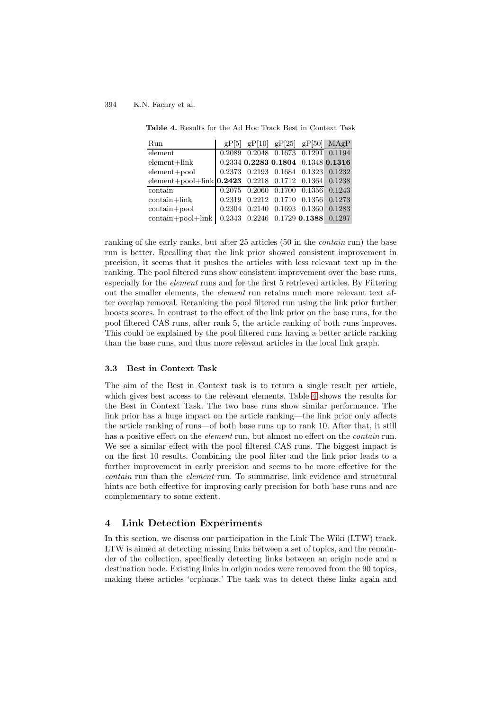| Run                                                                                  |                                              |  | $gP[5]$ $gP[10]$ $gP[25]$ $gP[50]$ $MAgP$ |
|--------------------------------------------------------------------------------------|----------------------------------------------|--|-------------------------------------------|
| element                                                                              |                                              |  | 0.2089 0.2048 0.1673 0.1291 0.1194        |
| $element+link$                                                                       | 0.2334 0.2283 0.1804 0.1348 0.1316           |  |                                           |
| $element + pool$                                                                     | $0.2373$ $0.2193$ $0.1684$ $0.1323$ $0.1232$ |  |                                           |
| element+pool+link $\vert 0.2423 \vert 0.2218 \vert 0.1712 \vert 0.1364 \vert 0.1238$ |                                              |  |                                           |
| contain                                                                              |                                              |  | 0.2075 0.2060 0.1700 0.1356 0.1243        |
| $\text{contain} + \text{link}$                                                       | $0.2319$ $0.2212$ $0.1710$ $0.1356$ $0.1273$ |  |                                           |
| $\text{contain}+\text{pool}$                                                         | $0.2304$ $0.2140$ $0.1693$ $0.1360$ $0.1283$ |  |                                           |
| $\text{contain}+\text{pool}+\text{link}$                                             |                                              |  | 0.2343  0.2246  0.1729  0.1388  0.1297    |
|                                                                                      |                                              |  |                                           |

<span id="page-6-2"></span>**Table 4.** Results for the Ad Hoc Track Best in Context Task

ranking of the early ranks, but after 25 articles (50 in the *contain* run) the base run is better. Recalling that the link prior showed consistent improvement in precision, it seems that it pushes the articles with less relevant text up in the ranking. The pool filtered runs show consistent improvement over the base runs, especially for the *element* runs and for the first 5 retrieved articles. By Filtering out the smaller elements, the *element* run retains much more relevant text after overlap removal. Reranking the pool filtered run using the link prior further boosts scores. In contrast to the effect of the link prior on the base runs, for the pool filtered CAS runs, after rank 5, the article ranking of both runs improves. This could be explained by the pool filtered runs having a better article ranking than the base runs, and thus more relevant articles in the local link graph.

### <span id="page-6-0"></span>**3.3 Best in Context Task**

The aim of the Best in Context task is to return a single result per article, which gives best access to the relevant elements. Table [4](#page-6-2) shows the results for the Best in Context Task. The two base runs show similar performance. The link prior has a huge impact on the article ranking—the link prior only affects the article ranking of runs—of both base runs up to rank 10. After that, it still has a positive effect on the *element* run, but almost no effect on the *contain* run. We see a similar effect with the pool filtered CAS runs. The biggest impact is on the first 10 results. Combining the pool filter and the link prior leads to a further improvement in early precision and seems to be more effective for the *contain* run than the *element* run. To summarise, link evidence and structural hints are both effective for improving early precision for both base runs and are complementary to some extent.

# <span id="page-6-1"></span>**4 Link Detection Experiments**

In this section, we discuss our participation in the Link The Wiki (LTW) track. LTW is aimed at detecting missing links between a set of topics, and the remainder of the collection, specifically detecting links between an origin node and a destination node. Existing links in origin nodes were removed from the 90 topics, making these articles 'orphans.' The task was to detect these links again and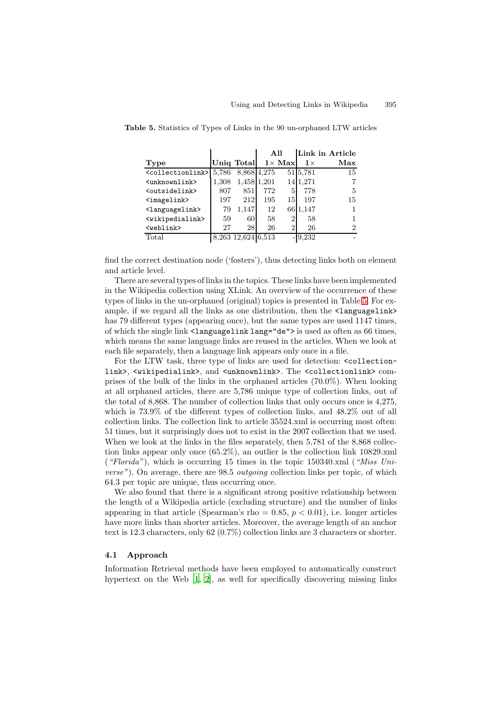|                                   |       |                    | All |                |           | Link in Article |
|-----------------------------------|-------|--------------------|-----|----------------|-----------|-----------------|
| Type                              |       | Uniq Total         |     | $1\times$ Max  | $1\times$ | Max             |
| <collectionlink></collectionlink> | 5,786 | 8,868 4,275        |     |                | 51 5,781  | 15              |
| <unknownlink></unknownlink>       | 1,308 | 1,458 1,201        |     |                | 14 1,271  |                 |
| <outsidelink></outsidelink>       | 807   | 851                | 772 | $\mathbf{5}$   | 778       | 5               |
| <imagelink></imagelink>           | 197   | 212                | 195 | 15             | 197       | 15              |
| <languagelink></languagelink>     | 79    | 1.147              | 12  |                | 6611.147  |                 |
| <wikipedialink></wikipedialink>   | 59    | 60                 | 58  | $\overline{2}$ | 58        |                 |
| <weblink></weblink>               | 27    | 28                 | 26  | $\overline{2}$ | 26        | 2               |
| Total                             |       | 8,263 12,624 6,513 |     |                | 9.232     |                 |

<span id="page-7-0"></span>**Table 5.** Statistics of Types of Links in the 90 un-orphaned LTW articles

find the correct destination node ('fosters'), thus detecting links both on element and article level.

There are several types of links in the topics. These links have been implemented in the Wikipedia collection using XLink. An overview of the occurrence of these types of links in the un-orphaned (original) topics is presented in Table [5.](#page-7-0) For example, if we regard all the links as one distribution, then the <languagelink> has 79 different types (appearing once), but the same types are used 1147 times, of which the single link <languagelink lang="de"> is used as often as 66 times, which means the same language links are reused in the articles. When we look at each file separately, then a language link appears only once in a file.

For the LTW task, three type of links are used for detection:  $\epsilon$ collectionlink>, <wikipedialink>, and <unknownlink>. The <collectionlink> comprises of the bulk of the links in the orphaned articles (70.0%). When looking at all orphaned articles, there are 5,786 unique type of collection links, out of the total of 8,868. The number of collection links that only occurs once is 4,275, which is 73.9% of the different types of collection links, and 48.2% out of all collection links. The collection link to article 35524.xml is occurring most often: 51 times, but it surprisingly does not to exist in the 2007 collection that we used. When we look at the links in the files separately, then 5,781 of the 8,868 collection links appear only once (65.2%), an outlier is the collection link 10829.xml (*"Florida"*), which is occurring 15 times in the topic 150340.xml (*"Miss Universe"*). On average, there are 98.5 *outgoing* collection links per topic, of which 64.3 per topic are unique, thus occurring once.

We also found that there is a significant strong positive relationship between the length of a Wikipedia article (excluding structure) and the number of links appearing in that article (Spearman's rho =  $0.85, p < 0.01$ ), i.e. longer articles have more links than shorter articles. Moreover, the average length of an anchor text is 12.3 characters, only 62 (0.7%) collection links are 3 characters or shorter.

### **4.1 Approach**

Information Retrieval methods have been employed to automatically construct hypertext on the Web [\[1,](#page-14-13) [2](#page-14-2)], as well for specifically discovering missing links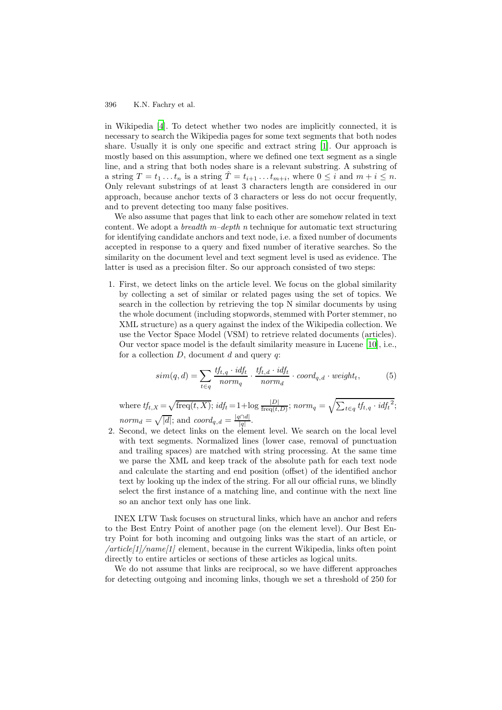in Wikipedia [\[4\]](#page-14-3). To detect whether two nodes are implicitly connected, it is necessary to search the Wikipedia pages for some text segments that both nodes share. Usually it is only one specific and extract string [\[1](#page-14-13)]. Our approach is mostly based on this assumption, where we defined one text segment as a single line, and a string that both nodes share is a relevant substring. A substring of a string  $T = t_1 \ldots t_n$  is a string  $\hat{T} = t_{i+1} \ldots t_{m+i}$ , where  $0 \leq i$  and  $m + i \leq n$ . Only relevant substrings of at least 3 characters length are considered in our approach, because anchor texts of 3 characters or less do not occur frequently, and to prevent detecting too many false positives.

We also assume that pages that link to each other are somehow related in text content. We adopt a *breadth m–depth n* technique for automatic text structuring for identifying candidate anchors and text node, i.e. a fixed number of documents accepted in response to a query and fixed number of iterative searches. So the similarity on the document level and text segment level is used as evidence. The latter is used as a precision filter. So our approach consisted of two steps:

1. First, we detect links on the article level. We focus on the global similarity by collecting a set of similar or related pages using the set of topics. We search in the collection by retrieving the top N similar documents by using the whole document (including stopwords, stemmed with Porter stemmer, no XML structure) as a query against the index of the Wikipedia collection. We use the Vector Space Model (VSM) to retrieve related documents (articles). Our vector space model is the default similarity measure in Lucene [\[10](#page-14-10)], i.e., for a collection  $D$ , document  $d$  and query  $q$ :

$$
sim(q,d) = \sum_{t \in q} \frac{tf_{t,q} \cdot id_{t}}{norm_{q}} \cdot \frac{tf_{t,d} \cdot id_{t}}{norm_{d}} \cdot coord_{q,d} \cdot weight_{t},
$$
 (5)

where  $tf_{t,X} = \sqrt{\text{freq}(t, X)}$ ;  $idf_t = 1 + \log \frac{|D|}{\text{freq}(t, D)}$ ;  $norm_q = \sqrt{\sum_{t \in q} tf_{t,q} \cdot idf_t^2}$ ;  $norm_d = \sqrt{|d|}$ ; and  $coord_{q,d} = \frac{|q \cap d|}{|q|}$ .

2. Second, we detect links on the element level. We search on the local level with text segments. Normalized lines (lower case, removal of punctuation and trailing spaces) are matched with string processing. At the same time we parse the XML and keep track of the absolute path for each text node and calculate the starting and end position (offset) of the identified anchor text by looking up the index of the string. For all our official runs, we blindly select the first instance of a matching line, and continue with the next line so an anchor text only has one link.

INEX LTW Task focuses on structural links, which have an anchor and refers to the Best Entry Point of another page (on the element level). Our Best Entry Point for both incoming and outgoing links was the start of an article, or */article[1]/name[1]* element, because in the current Wikipedia, links often point directly to entire articles or sections of these articles as logical units.

We do not assume that links are reciprocal, so we have different approaches for detecting outgoing and incoming links, though we set a threshold of 250 for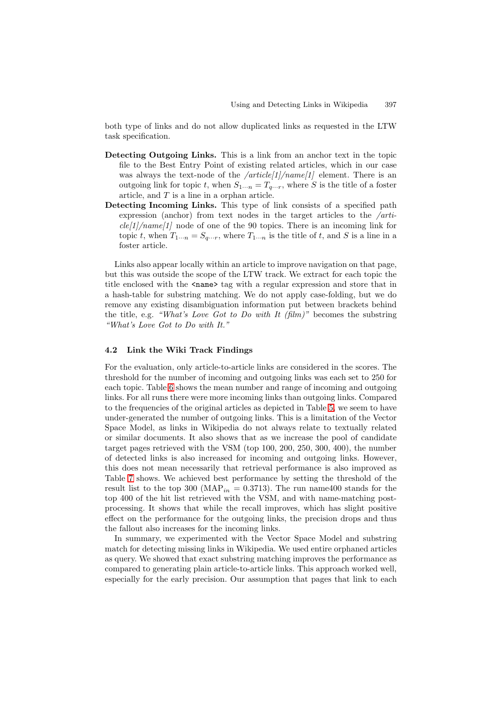both type of links and do not allow duplicated links as requested in the LTW task specification.

- **Detecting Outgoing Links.** This is a link from an anchor text in the topic file to the Best Entry Point of existing related articles, which in our case was always the text-node of the */article[1]/name[1]* element. There is an outgoing link for topic t, when  $S_{1\cdots n} = T_{q\cdots r}$ , where S is the title of a foster article, and T is a line in a orphan article.
- **Detecting Incoming Links.** This type of link consists of a specified path expression (anchor) from text nodes in the target articles to the */article[1]/name[1]* node of one of the 90 topics. There is an incoming link for topic t, when  $T_{1\cdots n} = S_{q\cdots r}$ , where  $T_{1\cdots n}$  is the title of t, and S is a line in a foster article.

Links also appear locally within an article to improve navigation on that page, but this was outside the scope of the LTW track. We extract for each topic the title enclosed with the  $\langle$ name> tag with a regular expression and store that in a hash-table for substring matching. We do not apply case-folding, but we do remove any existing disambiguation information put between brackets behind the title, e.g. *"What's Love Got to Do with It (film)"* becomes the substring *"What's Love Got to Do with It."*

### **4.2 Link the Wiki Track Findings**

For the evaluation, only article-to-article links are considered in the scores. The threshold for the number of incoming and outgoing links was each set to 250 for each topic. Table [6](#page-10-1) shows the mean number and range of incoming and outgoing links. For all runs there were more incoming links than outgoing links. Compared to the frequencies of the original articles as depicted in Table [5,](#page-7-0) we seem to have under-generated the number of outgoing links. This is a limitation of the Vector Space Model, as links in Wikipedia do not always relate to textually related or similar documents. It also shows that as we increase the pool of candidate target pages retrieved with the VSM (top 100, 200, 250, 300, 400), the number of detected links is also increased for incoming and outgoing links. However, this does not mean necessarily that retrieval performance is also improved as Table [7](#page-10-2) shows. We achieved best performance by setting the threshold of the result list to the top 300 (MAP<sub>in</sub> = 0.3713). The run name400 stands for the top 400 of the hit list retrieved with the VSM, and with name-matching postprocessing. It shows that while the recall improves, which has slight positive effect on the performance for the outgoing links, the precision drops and thus the fallout also increases for the incoming links.

In summary, we experimented with the Vector Space Model and substring match for detecting missing links in Wikipedia. We used entire orphaned articles as query. We showed that exact substring matching improves the performance as compared to generating plain article-to-article links. This approach worked well, especially for the early precision. Our assumption that pages that link to each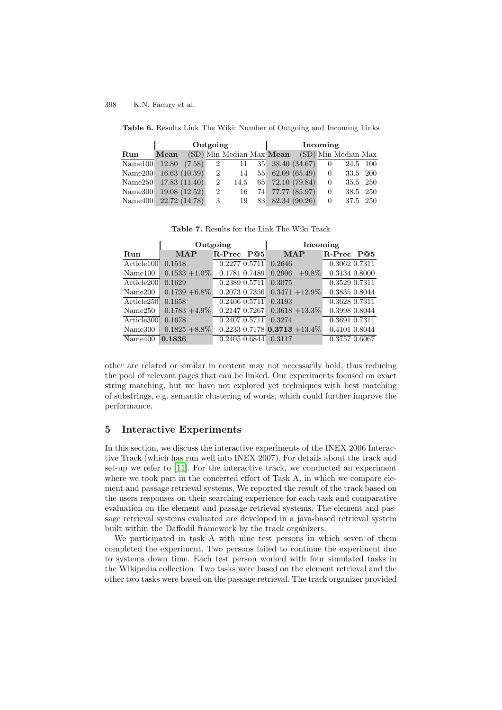**Table 6.** Results Link The Wiki: Number of Outgoing and Incoming Links

<span id="page-10-1"></span>

|                        | Outgoing |                  |                           |                          |     | Incoming |                  |                |                     |          |
|------------------------|----------|------------------|---------------------------|--------------------------|-----|----------|------------------|----------------|---------------------|----------|
| Run                    | $Mean$   |                  |                           | (SD) Min Median Max Mean |     |          |                  |                | (SD) Min Median Max |          |
| Name100                |          | $12.80$ $(7.58)$ | $\overline{\phantom{a}2}$ | -11                      |     |          | 35 38.40 (34.67) | 0              |                     | 24.5 100 |
| Name200                |          | 16.63(10.39)     | $\overline{2}$            | 14                       | 55  |          | 62.09(65.49)     | $\overline{0}$ |                     | 33.5 200 |
| Name 250 17.83 (11.40) |          |                  | 2                         | 14.5                     | 65  |          | 72.10 (79.84)    | $\overline{0}$ |                     | 35.5 250 |
| Name300                |          | 19.08(12.52)     | 2                         | 16                       | 74  |          | 77.77 (85.97)    | $\theta$       |                     | 38.5 250 |
| Name400 22.72 (14.78)  |          |                  | 3                         | 19                       | 831 |          | 82.34 (90.26)    | $\Omega$       |                     | 37.5 250 |

<span id="page-10-2"></span>

|                        |                  | Outgoing             | Incoming                            |                 |  |  |
|------------------------|------------------|----------------------|-------------------------------------|-----------------|--|--|
| Run                    | <b>MAP</b>       | $R-Prec$ P $@5$      | <b>MAP</b>                          | $R-Prec$ P $@5$ |  |  |
| Article100             | 0.1518           | 0.2277 0.5711        | 0.2646                              | 0.3062 0.7311   |  |  |
| Name100                | $0.1533 + 1.0\%$ | 0.1781 0.7489        | 0.2906<br>$+9.8\%$                  | 0.3134 0.8000   |  |  |
| Article 200            | 0.1629           | 0.2389 0.5711        | 0.3075                              | 0.3529 0.7311   |  |  |
| Name200                | $0.1739 + 6.8\%$ | 0.2073 0.7356        | $0.3471 + 12.9\%$                   | 0.3835 0.8044   |  |  |
| Article <sub>250</sub> | 0.1658           | 0.2406 0.5711        | 0.3193                              | 0.3628 0.7311   |  |  |
| Name250                | $0.1783 + 4.9\%$ | 0.2147 0.7267        | $0.3618 + 13.3\%$                   | 0.3998 0.8044   |  |  |
| Article 300            | 0.1678           | 0.2407 0.5711        | 0.3274                              | 0.3691 0.7311   |  |  |
| Name300                | $0.1825 + 8.8\%$ |                      | $0.2233$ $0.7178$ $0.3713 + 13.4\%$ | 0.4101 0.8044   |  |  |
| Name400                | 0.1836           | 0.2405 0.6844 0.3117 |                                     | 0.3757 0.6067   |  |  |
|                        |                  |                      |                                     |                 |  |  |

**Table 7.** Results for the Link The Wiki Track

other are related or similar in content may not necessarily hold, thus reducing the pool of relevant pages that can be linked. Our experiments focused on exact string matching, but we have not explored yet techniques with best matching of substrings, e.g. semantic clustering of words, which could further improve the performance.

# <span id="page-10-0"></span>**5 Interactive Experiments**

In this section, we discuss the interactive experiments of the INEX 2006 Interactive Track (which has run well into INEX 2007). For details about the track and set-up we refer to [\[11](#page-14-5)]. For the interactive track, we conducted an experiment where we took part in the concerted effort of Task A, in which we compare element and passage retrieval systems. We reported the result of the track based on the users responses on their searching experience for each task and comparative evaluation on the element and passage retrieval systems. The element and passage retrieval systems evaluated are developed in a java-based retrieval system built within the Daffodil framework by the track organizers.

We participated in task A with nine test persons in which seven of them completed the experiment. Two persons failed to continue the experiment due to systems down time. Each test person worked with four simulated tasks in the Wikipedia collection. Two tasks were based on the element retrieval and the other two tasks were based on the passage retrieval. The track organizer provided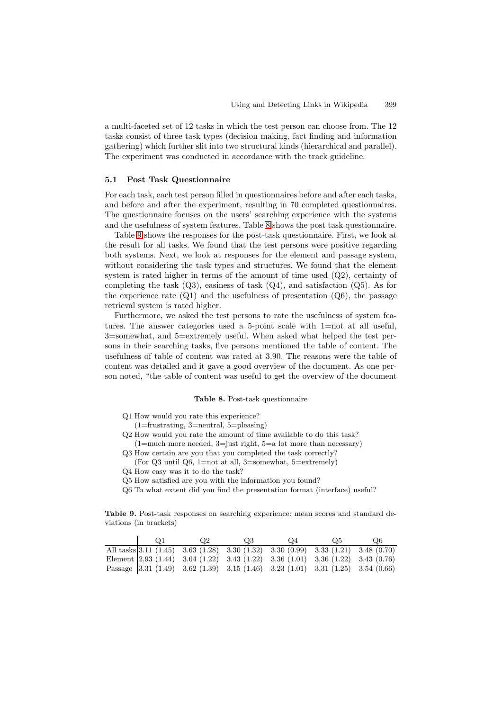a multi-faceted set of 12 tasks in which the test person can choose from. The 12 tasks consist of three task types (decision making, fact finding and information gathering) which further slit into two structural kinds (hierarchical and parallel). The experiment was conducted in accordance with the track guideline.

# **5.1 Post Task Questionnaire**

For each task, each test person filled in questionnaires before and after each tasks, and before and after the experiment, resulting in 70 completed questionnaires. The questionnaire focuses on the users' searching experience with the systems and the usefulness of system features. Table [8](#page-11-0) shows the post task questionnaire.

Table [9](#page-11-1) shows the responses for the post-task questionnaire. First, we look at the result for all tasks. We found that the test persons were positive regarding both systems. Next, we look at responses for the element and passage system, without considering the task types and structures. We found that the element system is rated higher in terms of the amount of time used (Q2), certainty of completing the task  $(Q3)$ , easiness of task  $(Q4)$ , and satisfaction  $(Q5)$ . As for the experience rate  $(Q1)$  and the usefulness of presentation  $(Q6)$ , the passage retrieval system is rated higher.

Furthermore, we asked the test persons to rate the usefulness of system features. The answer categories used a 5-point scale with 1=not at all useful, 3=somewhat, and 5=extremely useful. When asked what helped the test persons in their searching tasks, five persons mentioned the table of content. The usefulness of table of content was rated at 3.90. The reasons were the table of content was detailed and it gave a good overview of the document. As one person noted, "the table of content was useful to get the overview of the document

#### <span id="page-11-0"></span>**Table 8.** Post-task questionnaire

- Q1 How would you rate this experience?
- $(1=$ frustrating, 3=neutral, 5=pleasing)
- Q2 How would you rate the amount of time available to do this task?  $(1=$ much more needed,  $3=$ just right,  $5=$ a lot more than necessary)
- Q3 How certain are you that you completed the task correctly? (For Q3 until Q6, 1=not at all, 3=somewhat, 5=extremely)
- Q4 How easy was it to do the task?
- Q5 How satisfied are you with the information you found?
- Q6 To what extent did you find the presentation format (interface) useful?

<span id="page-11-1"></span>**Table 9.** Post-task responses on searching experience: mean scores and standard deviations (in brackets)

| Q1 | O2 | $\omega_3$                                                                        | Q <sub>4</sub> | $\omega_{5}$ | Q6 |
|----|----|-----------------------------------------------------------------------------------|----------------|--------------|----|
|    |    | All tasks 3.11 (1.45) 3.63 (1.28) 3.30 (1.32) 3.30 (0.99) 3.33 (1.21) 3.48 (0.70) |                |              |    |
|    |    | Element [2.93 (1.44) 3.64 (1.22) 3.43 (1.22) 3.36 (1.01) 3.36 (1.22) 3.43 (0.76)  |                |              |    |
|    |    | Passage 3.31 (1.49) 3.62 (1.39) 3.15 (1.46) 3.23 (1.01) 3.31 (1.25) 3.54 (0.66)   |                |              |    |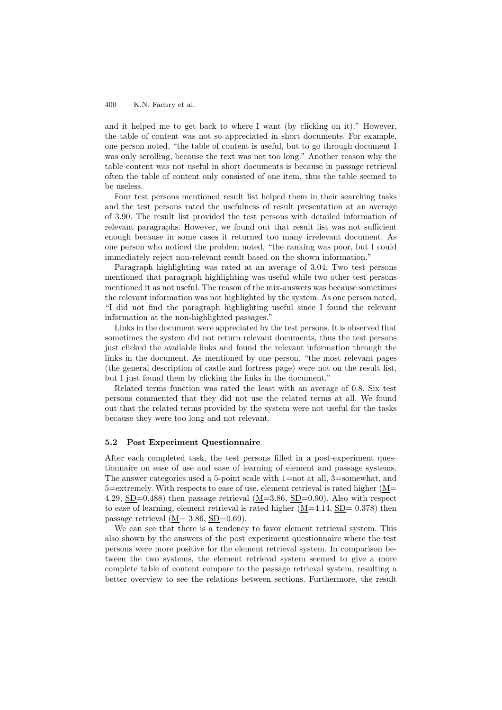and it helped me to get back to where I want (by clicking on it)." However, the table of content was not so appreciated in short documents. For example, one person noted, "the table of content is useful, but to go through document I was only scrolling, because the text was not too long." Another reason why the table content was not useful in short documents is because in passage retrieval often the table of content only consisted of one item, thus the table seemed to be useless.

Four test persons mentioned result list helped them in their searching tasks and the test persons rated the usefulness of result presentation at an average of 3.90. The result list provided the test persons with detailed information of relevant paragraphs. However, we found out that result list was not sufficient enough because in some cases it returned too many irrelevant document. As one person who noticed the problem noted, "the ranking was poor, but I could immediately reject non-relevant result based on the shown information."

Paragraph highlighting was rated at an average of 3.04. Two test persons mentioned that paragraph highlighting was useful while two other test persons mentioned it as not useful. The reason of the mix-answers was because sometimes the relevant information was not highlighted by the system. As one person noted, "I did not find the paragraph highlighting useful since I found the relevant information at the non-highlighted passages."

Links in the document were appreciated by the test persons. It is observed that sometimes the system did not return relevant documents, thus the test persons just clicked the available links and found the relevant information through the links in the document. As mentioned by one person, "the most relevant pages (the general description of castle and fortress page) were not on the result list, but I just found them by clicking the links in the document."

Related terms function was rated the least with an average of 0.8. Six test persons commented that they did not use the related terms at all. We found out that the related terms provided by the system were not useful for the tasks because they were too long and not relevant.

### **5.2 Post Experiment Questionnaire**

After each completed task, the test persons filled in a post-experiment questionnaire on ease of use and ease of learning of element and passage systems. The answer categories used a 5-point scale with 1=not at all, 3=somewhat, and 5=extremely. With respects to ease of use, element retrieval is rated higher  $(M=$ 4.29,  $SD=0.488$ ) then passage retrieval  $(M=3.86, SD=0.90)$ . Also with respect to ease of learning, element retrieval is rated higher  $(M=4.14, SD= 0.378)$  then passage retrieval  $(M= 3.86, SD=0.69)$ .

We can see that there is a tendency to favor element retrieval system. This also shown by the answers of the post experiment questionnaire where the test persons were more positive for the element retrieval system. In comparison between the two systems, the element retrieval system seemed to give a more complete table of content compare to the passage retrieval system, resulting a better overview to see the relations between sections. Furthermore, the result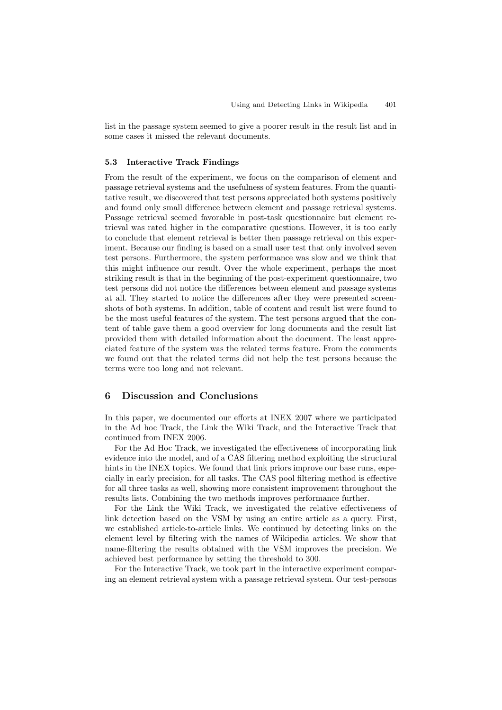list in the passage system seemed to give a poorer result in the result list and in some cases it missed the relevant documents.

### **5.3 Interactive Track Findings**

From the result of the experiment, we focus on the comparison of element and passage retrieval systems and the usefulness of system features. From the quantitative result, we discovered that test persons appreciated both systems positively and found only small difference between element and passage retrieval systems. Passage retrieval seemed favorable in post-task questionnaire but element retrieval was rated higher in the comparative questions. However, it is too early to conclude that element retrieval is better then passage retrieval on this experiment. Because our finding is based on a small user test that only involved seven test persons. Furthermore, the system performance was slow and we think that this might influence our result. Over the whole experiment, perhaps the most striking result is that in the beginning of the post-experiment questionnaire, two test persons did not notice the differences between element and passage systems at all. They started to notice the differences after they were presented screenshots of both systems. In addition, table of content and result list were found to be the most useful features of the system. The test persons argued that the content of table gave them a good overview for long documents and the result list provided them with detailed information about the document. The least appreciated feature of the system was the related terms feature. From the comments we found out that the related terms did not help the test persons because the terms were too long and not relevant.

# <span id="page-13-0"></span>**6 Discussion and Conclusions**

In this paper, we documented our efforts at INEX 2007 where we participated in the Ad hoc Track, the Link the Wiki Track, and the Interactive Track that continued from INEX 2006.

For the Ad Hoc Track, we investigated the effectiveness of incorporating link evidence into the model, and of a CAS filtering method exploiting the structural hints in the INEX topics. We found that link priors improve our base runs, especially in early precision, for all tasks. The CAS pool filtering method is effective for all three tasks as well, showing more consistent improvement throughout the results lists. Combining the two methods improves performance further.

For the Link the Wiki Track, we investigated the relative effectiveness of link detection based on the VSM by using an entire article as a query. First, we established article-to-article links. We continued by detecting links on the element level by filtering with the names of Wikipedia articles. We show that name-filtering the results obtained with the VSM improves the precision. We achieved best performance by setting the threshold to 300.

For the Interactive Track, we took part in the interactive experiment comparing an element retrieval system with a passage retrieval system. Our test-persons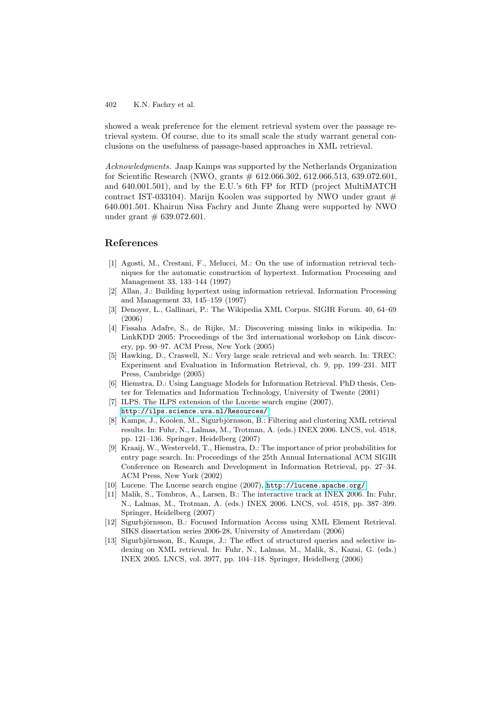showed a weak preference for the element retrieval system over the passage retrieval system. Of course, due to its small scale the study warrant general conclusions on the usefulness of passage-based approaches in XML retrieval.

*Acknowledgments.* Jaap Kamps was supported by the Netherlands Organization for Scientific Research (NWO, grants # 612.066.302, 612.066.513, 639.072.601, and 640.001.501), and by the E.U.'s 6th FP for RTD (project MultiMATCH contract IST-033104). Marijn Koolen was supported by NWO under grant  $#$ 640.001.501. Khairun Nisa Fachry and Junte Zhang were supported by NWO under grant  $# 639.072.601.$ 

# <span id="page-14-13"></span><span id="page-14-4"></span>**References**

- [1] Agosti, M., Crestani, F., Melucci, M.: On the use of information retrieval techniques for the automatic construction of hypertext. Information Processing and Management 33, 133–144 (1997)
- <span id="page-14-2"></span>[2] Allan, J.: Building hypertext using information retrieval. Information Processing and Management 33, 145–159 (1997)
- <span id="page-14-6"></span>[3] Denoyer, L., Gallinari, P.: The Wikipedia XML Corpus. SIGIR Forum. 40, 64–69 (2006)
- <span id="page-14-3"></span>[4] Fissaha Adafre, S., de Rijke, M.: Discovering missing links in wikipedia. In: LinkKDD 2005: Proceedings of the 3rd international workshop on Link discovery, pp. 90–97. ACM Press, New York (2005)
- <span id="page-14-1"></span>[5] Hawking, D., Craswell, N.: Very large scale retrieval and web search. In: TREC: Experiment and Evaluation in Information Retrieval, ch. 9, pp. 199–231. MIT Press, Cambridge (2005)
- <span id="page-14-11"></span>[6] Hiemstra, D.: Using Language Models for Information Retrieval. PhD thesis, Center for Telematics and Information Technology, University of Twente (2001)
- <span id="page-14-9"></span>[7] ILPS. The ILPS extension of the Lucene search engine (2007), <http://ilps.science.uva.nl/Resources/>
- <span id="page-14-7"></span>[8] Kamps, J., Koolen, M., Sigurbjörnsson, B.: Filtering and clustering XML retrieval results. In: Fuhr, N., Lalmas, M., Trotman, A. (eds.) INEX 2006. LNCS, vol. 4518, pp. 121–136. Springer, Heidelberg (2007)
- <span id="page-14-0"></span>[9] Kraaij, W., Westerveld, T., Hiemstra, D.: The importance of prior probabilities for entry page search. In: Proceedings of the 25th Annual International ACM SIGIR Conference on Research and Development in Information Retrieval, pp. 27–34. ACM Press, New York (2002)
- <span id="page-14-10"></span>[10] Lucene. The Lucene search engine (2007), <http://lucene.apache.org/>
- <span id="page-14-5"></span>[11] Malik, S., Tombros, A., Larsen, B.: The interactive track at INEX 2006. In: Fuhr, N., Lalmas, M., Trotman, A. (eds.) INEX 2006. LNCS, vol. 4518, pp. 387–399. Springer, Heidelberg (2007)
- <span id="page-14-12"></span>[12] Sigurbjörnsson, B.: Focused Information Access using XML Element Retrieval. SIKS dissertation series 2006-28, University of Amsterdam (2006)
- <span id="page-14-8"></span>[13] Sigurbjörnsson, B., Kamps, J.: The effect of structured queries and selective indexing on XML retrieval. In: Fuhr, N., Lalmas, M., Malik, S., Kazai, G. (eds.) INEX 2005. LNCS, vol. 3977, pp. 104–118. Springer, Heidelberg (2006)